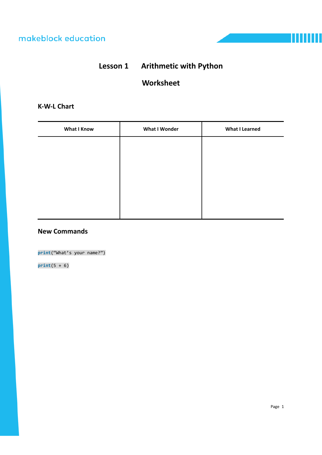

## **Worksheet**

## **K‐W‐L Chart**

| <b>What I Know</b> | <b>What I Wonder</b> | <b>What I Learned</b> |
|--------------------|----------------------|-----------------------|
|                    |                      |                       |
|                    |                      |                       |
|                    |                      |                       |
|                    |                      |                       |
|                    |                      |                       |
|                    |                      |                       |

### **New Commands**

**print**("What's your name?")

**print**(5 + 6)

т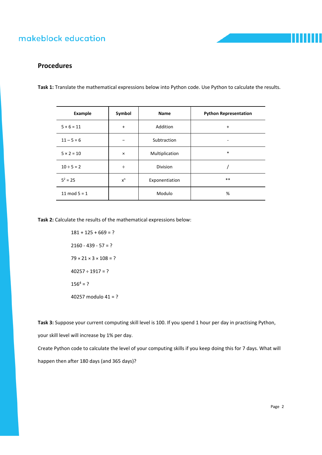

### **Procedures**

**Task 1:** Translate the mathematical expressions below into Python code. Use Python to calculate the results.

| Example           | Symbol         | Name           | <b>Python Representation</b> |
|-------------------|----------------|----------------|------------------------------|
| $5 + 6 = 11$      | $\ddot{}$      | Addition       | $\ddot{}$                    |
| $11 - 5 = 6$      |                | Subtraction    |                              |
| $5 \times 2 = 10$ | $\pmb{\times}$ | Multiplication | $\ast$                       |
| $10 \div 5 = 2$   | ÷              | Division       |                              |
| $5^2 = 25$        | $x^n$          | Exponentiation | $***$                        |
| 11 mod $5 = 1$    |                | Modulo         | %                            |

**Task 2:** Calculate the results of the mathematical expressions below:

 $181 + 125 + 669 = ?$  $2160 - 439 - 57 = ?$  $79 \times 21 \times 3 \times 108 = ?$  $40257 \div 1917 = ?$  $156<sup>4</sup> = ?$ 40257 modulo 41 = ?

**Task 3:** Suppose your current computing skill level is 100. If you spend 1 hour per day in practising Python,

your skill level will increase by 1% per day.

Create Python code to calculate the level of your computing skills if you keep doing this for 7 days. What will happen then after 180 days (and 365 days)?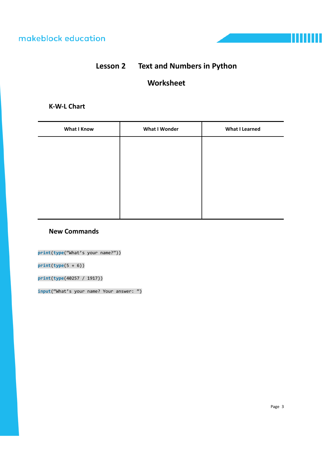# **Lesson 2 Text and Numbers in Python**

## **Worksheet**

### **K‐W‐L Chart**

| <b>What I Know</b> | <b>What I Wonder</b> | <b>What I Learned</b> |
|--------------------|----------------------|-----------------------|
|                    |                      |                       |
|                    |                      |                       |
|                    |                      |                       |
|                    |                      |                       |
|                    |                      |                       |
|                    |                      |                       |

### **New Commands**

**print**(**type**("What's your name?"))

**print**(**type**(5 + 6))

**print**(**type**(40257 / 1917))

**input**("What's your name? Your answer: ")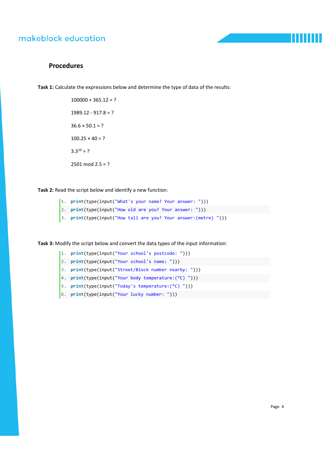

### **Procedures**

**Task 1:** Calculate the expressions below and determine the type of data of the results:

 $100000 + 365.12 = ?$  $1989.12 - 917.8 = ?$  $36.6 \times 50.1 = ?$  $100.25 \times 40 = ?$  $3.3^{10} = ?$  $2501 \text{ mod } 2.5 = ?$ 

**Task 2:** Read the script below and identify a new function:

- 1. **print**(type(input("What's your name? Your answer: ")))
- 2. **print**(type(input("How old are you? Your answer: ")))
- 3. **print**(type(input("How tall are you? Your answer:(metre) ")))

**Task 3:** Modify the script below and convert the data types of the input information:

- 1. **print**(type(input("Your school's postcode: ")))
- 2. **print**(type(input("Your school's name: ")))
- 3. **print**(type(input("Street/Block number nearby: ")))
- 4. **print**(type(input("Your body temperature:(°C) ")))
- 5. **print**(type(input("Today's temperature:(°C) ")))
- 6. **print**(type(input("Your lucky number: ")))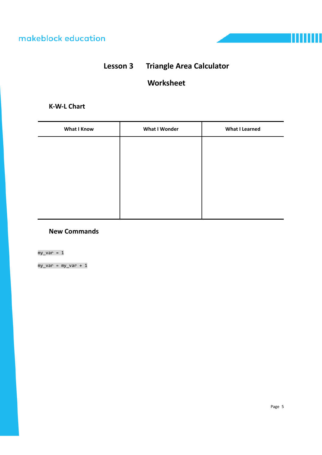



# **Worksheet**

### **K‐W‐L Chart**

| <b>What I Know</b> | <b>What I Wonder</b> | <b>What I Learned</b> |
|--------------------|----------------------|-----------------------|
|                    |                      |                       |
|                    |                      |                       |
|                    |                      |                       |
|                    |                      |                       |
|                    |                      |                       |
|                    |                      |                       |

### **New Commands**

 $my\_var = 1$ 

my\_var = my\_var + 1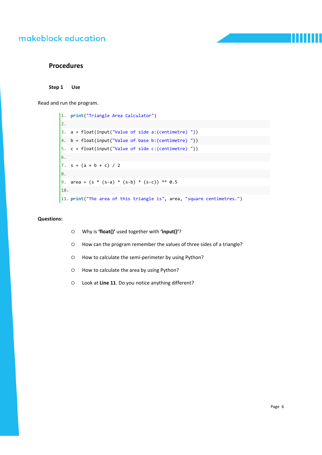#### **Procedures**

**Step 1 Use** 

Read and run the program.

1. **print**("Triangle Area Calculator") 2. 3. a = float(input("Value of side a:(centimetre) ")) 4. b = float(input("Value of base b:(centimetre) ")) 5. c = float(input("Value of side c:(centimetre) ")) 6. 7.  $s = (a + b + c) / 2$ 8. 9. area =  $(s * (s-a) * (s-b) * (s-c)) ** 0.5$ 10. 11. **print**("The area of this triangle is", area, "square centimetres.")

#### **Questions:**

- Why is **'float()'** used together with **'input()'**?
- How can the program remember the values of three sides of a triangle?
- How to calculate the semi-perimeter by using Python?
- How to calculate the area by using Python?
- Look at **Line 11**. Do you notice anything different?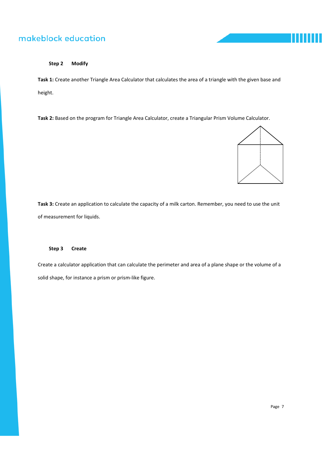

#### **Step 2 Modify**

**Task 1:** Create another Triangle Area Calculator that calculates the area of a triangle with the given base and height.

**Task 2:** Based on the program for Triangle Area Calculator, create a Triangular Prism Volume Calculator.



**Task 3:** Create an application to calculate the capacity of a milk carton. Remember, you need to use the unit of measurement for liquids.

#### **Step 3 Create**

Create a calculator application that can calculate the perimeter and area of a plane shape or the volume of a solid shape, for instance a prism or prism‐like figure.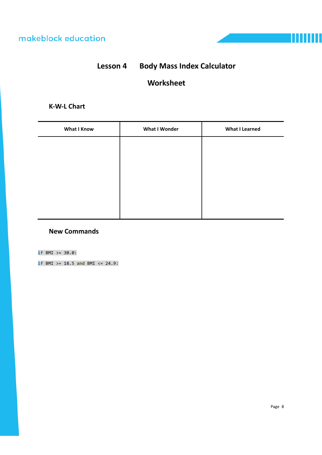

# **Worksheet**

## **K‐W‐L Chart**

| <b>What I Know</b> | <b>What I Wonder</b> | <b>What I Learned</b> |
|--------------------|----------------------|-----------------------|
|                    |                      |                       |
|                    |                      |                       |
|                    |                      |                       |
|                    |                      |                       |
|                    |                      |                       |
|                    |                      |                       |

### **New Commands**

**if** BMI >= 30.0:

**if** BMI >= 18.5 **and** BMI <= 24.9: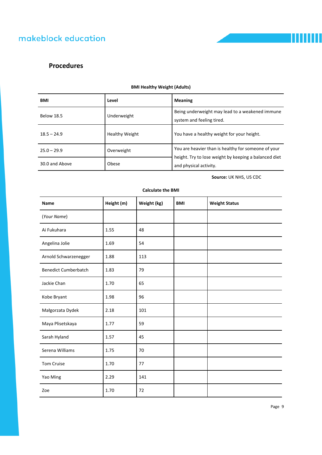## **Procedures**

| <b>BMI</b>              | Level                 | <b>Meaning</b>                                                                  |  |
|-------------------------|-----------------------|---------------------------------------------------------------------------------|--|
| <b>Below 18.5</b>       | Underweight           | Being underweight may lead to a weakened immune<br>system and feeling tired.    |  |
| $18.5 - 24.9$           | <b>Healthy Weight</b> | You have a healthy weight for your height.                                      |  |
| $25.0 - 29.9$           | Overweight            | You are heavier than is healthy for someone of your                             |  |
| Obese<br>30.0 and Above |                       | height. Try to lose weight by keeping a balanced diet<br>and physical activity. |  |

#### **BMI Healthy Weight (Adults)**

**Source:** UK NHS, US CDC

mm

| Name                        | Height (m) | Weight (kg) | <b>BMI</b> | <b>Weight Status</b> |
|-----------------------------|------------|-------------|------------|----------------------|
| (Your Name)                 |            |             |            |                      |
| Ai Fukuhara                 | 1.55       | 48          |            |                      |
| Angelina Jolie              | 1.69       | 54          |            |                      |
| Arnold Schwarzenegger       | 1.88       | 113         |            |                      |
| <b>Benedict Cumberbatch</b> | 1.83       | 79          |            |                      |
| Jackie Chan                 | 1.70       | 65          |            |                      |
| Kobe Bryant                 | 1.98       | 96          |            |                      |
| Małgorzata Dydek            | 2.18       | 101         |            |                      |
| Maya Plisetskaya            | 1.77       | 59          |            |                      |
| Sarah Hyland                | 1.57       | 45          |            |                      |
| Serena Williams             | 1.75       | 70          |            |                      |
| Tom Cruise                  | 1.70       | 77          |            |                      |
| Yao Ming                    | 2.29       | 141         |            |                      |
| Zoe                         | 1.70       | 72          |            |                      |

#### **Calculate the BMI**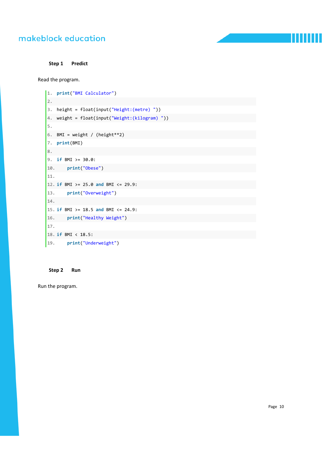**Step 1 Predict** 

Read the program.

```
1. print("BMI Calculator")    
2.         
3. height = float(input("Height:(metre) "))    
4. weight = float(input("Weight:(kilogram) "))    
5.         
6. BMI = weight / (height ** 2)
7. print(BMI)    
8.   
9. if BMI >= 30.0:  
10.     print("Obese")    
11.   
12. if BMI >= 25.0 and BMI <= 29.9:  
13.     print("Overweight")   
14.    
15. if BMI >= 18.5 and BMI <= 24.9:  
16.     print("Healthy Weight")    
17.   
18. if BMI < 18.5:     
19.     print("Underweight")
```
#### **Step 2 Run**

Run the program.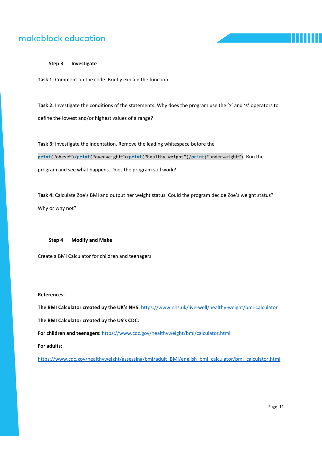#### **Step 3 Investigate**

**Task 1:** Comment on the code. Briefly explain the function.

**Task 2:** Investigate the conditions of the statements. Why does the program use the '≥' and '≤' operators to define the lowest and/or highest values of a range?

**Task 3:** Investigate the indentation. Remove the leading whitespace before the

**print**("obese")/**print**("overweight")/**print**("healthy weight")/**print**("underweight"). Run the program and see what happens. Does the program still work?

**Task 4:** Calculate Zoe's BMI and output her weight status. Could the program decide Zoe's weight status? Why or why not?

#### **Step 4 Modify and Make**

Create a BMI Calculator for children and teenagers.

#### **References:**

**The BMI Calculator created by the UK's NHS:** https://www.nhs.uk/live‐well/healthy‐weight/bmi‐calculator **The BMI Calculator created by the US's CDC: For children and teenagers:** https://www.cdc.gov/healthyweight/bmi/calculator.html

**For adults:**

https://www.cdc.gov/healthyweight/assessing/bmi/adult\_BMI/english\_bmi\_calculator/bmi\_calculator.html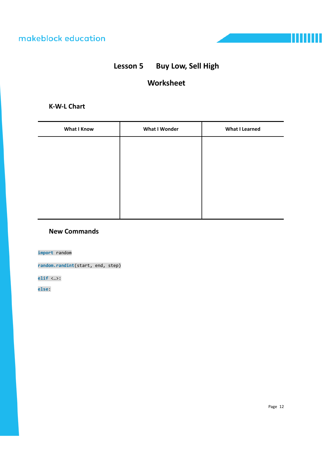# **Lesson 5 Buy Low, Sell High**

# **Worksheet**

## **K‐W‐L Chart**

| <b>What I Know</b> | <b>What I Wonder</b> | <b>What I Learned</b> |
|--------------------|----------------------|-----------------------|
|                    |                      |                       |
|                    |                      |                       |
|                    |                      |                       |
|                    |                      |                       |
|                    |                      |                       |
|                    |                      |                       |

#### **New Commands**

**import** random

**random.randint**(start, end, step)

**elif** <…>:

**else**: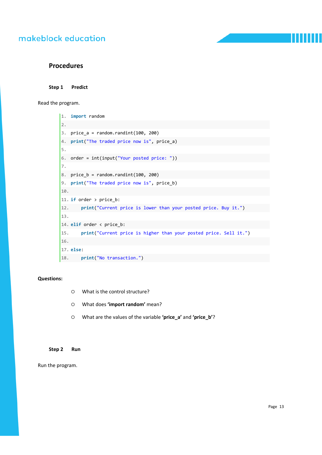#### **Procedures**

#### **Step 1 Predict**

Read the program.

```
1. import random  
2.   
3. price_a = random.randint(100, 200)4. print("The traded price now is", price_a)  
5.   
6. order = int(input("Your posted price: "))  
7.   
8. price b = random.randint(100, 200)
9. print("The traded price now is", price_b)  
10.   
11. if order > price_b:  
12.     print("Current price is lower than your posted price. Buy it.")  
13.   
14. elif order < price_b:  
15.     print("Current price is higher than your posted price. Sell it.")  
16.   
17. else:  
18.     print("No transaction.")
```
#### **Questions:**

- What is the control structure?
- What does **'import random'** mean?
- What are the values of the variable **'price\_a'** and **'price\_b'**?

#### **Step 2 Run**

Run the program.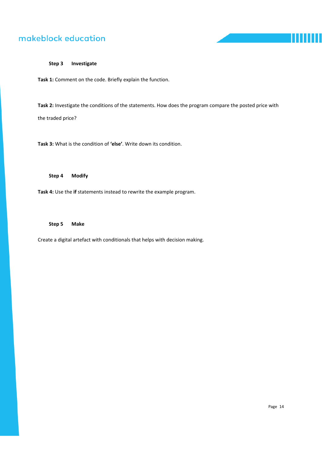п

#### **Step 3 Investigate**

**Task 1:** Comment on the code. Briefly explain the function.

**Task 2:** Investigate the conditions of the statements. How does the program compare the posted price with the traded price?

**Task 3:** What is the condition of **'else'**. Write down its condition.

**Step 4 Modify** 

**Task 4:** Use the **if** statements instead to rewrite the example program.

**Step 5 Make** 

Create a digital artefact with conditionals that helps with decision making.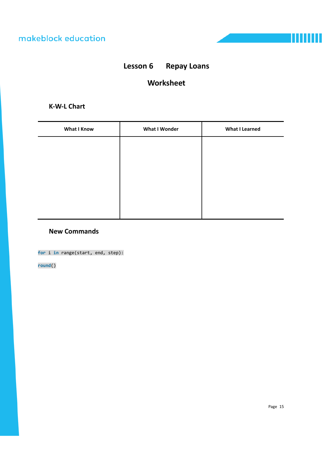

# **Lesson 6 Repay Loans**

# **Worksheet**

### **K‐W‐L Chart**

| <b>What I Know</b> | <b>What I Wonder</b> | <b>What I Learned</b> |
|--------------------|----------------------|-----------------------|
|                    |                      |                       |
|                    |                      |                       |
|                    |                      |                       |
|                    |                      |                       |
|                    |                      |                       |
|                    |                      |                       |

### **New Commands**

**for** i **in** range(start, end, step):

**round**()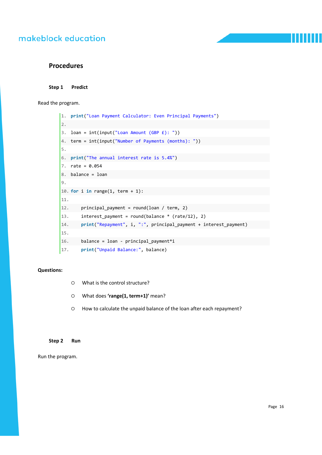#### **Procedures**

#### **Step 1 Predict**

Read the program.

```
1. print("Loan Payment Calculator: Even Principal Payments")    
2.   
3. loan = int(input("Lean Amount (GBP E):"))4. term = int(input("Number of Payments (months):"))5.     
6. print("The annual interest rate is 5.4%")    
7. rate = 0.0548. balance = loan
9.     
10. for i in range(1, term + 1):    
11.   
12.     principal payment = round(loan / term, 2)
13.     interest_payment = round(balance * (rate/12), 2)
14.     print("Repayment", i, ":", principal_payment + interest_payment)  
15.       
16. balance = loan - principal_payment*i
17.     print("Unpaid Balance:", balance)
```
#### **Questions:**

- What is the control structure?
- What does **'range(1, term+1)'** mean?
- How to calculate the unpaid balance of the loan after each repayment?

#### **Step 2 Run**

Run the program.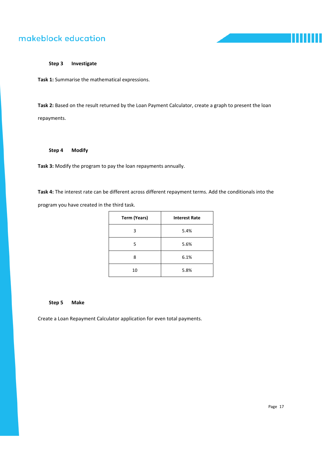

#### **Step 3 Investigate**

**Task 1:** Summarise the mathematical expressions.

**Task 2:** Based on the result returned by the Loan Payment Calculator, create a graph to present the loan repayments.

#### **Step 4 Modify**

**Task 3:** Modify the program to pay the loan repayments annually.

**Task 4:** The interest rate can be different across different repayment terms. Add the conditionals into the program you have created in the third task.

| <b>Term (Years)</b> | <b>Interest Rate</b> |  |
|---------------------|----------------------|--|
| 3                   | 5.4%                 |  |
| 5                   | 5.6%                 |  |
| 8                   | 6.1%                 |  |
| 10                  | 5.8%                 |  |

#### **Step 5 Make**

Create a Loan Repayment Calculator application for even total payments.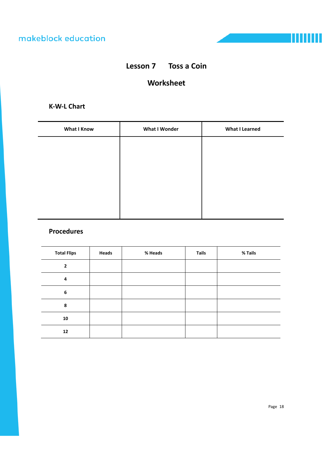

# **Lesson 7 Toss a Coin**

## **Worksheet**

### **K‐W‐L Chart**

| <b>What I Know</b> | <b>What I Wonder</b> | <b>What I Learned</b> |
|--------------------|----------------------|-----------------------|
|                    |                      |                       |
|                    |                      |                       |
|                    |                      |                       |
|                    |                      |                       |
|                    |                      |                       |
|                    |                      |                       |

### **Procedures**

| <b>Total Flips</b> | Heads | % Heads | <b>Tails</b> | % Tails |
|--------------------|-------|---------|--------------|---------|
| $\overline{2}$     |       |         |              |         |
| 4                  |       |         |              |         |
| 6                  |       |         |              |         |
| 8                  |       |         |              |         |
| 10                 |       |         |              |         |
| 12                 |       |         |              |         |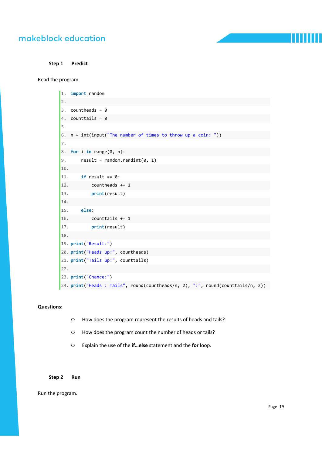**Step 1 Predict** 

Read the program.

```
1. import random  
2.   
3. countheads = 04. counttails = 0  
5.   
6. n = int(input("The number of times to throw up a coin: "))  
7.   
8. for i in range(0, n):  
9. result = random.randint(0, 1)10.       
11.     if result == 0:  
12. countheads += 113.         print(result)  
14.           
15.     else:  
16. counttails += 117.         print(result)  
18.           
19. print("Result:")  
20. print("Heads up:", countheads)  
21. print("Tails up:", counttails)  
22.   
23. print("Chance:")  
24. print("Heads : Tails", round(countheads/n, 2), ":", round(counttails/n, 2))
```
#### **Questions:**

- How does the program represent the results of heads and tails?
- How does the program count the number of heads or tails?
- Explain the use of the **if…else** statement and the **for** loop.

#### **Step 2 Run**

Run the program.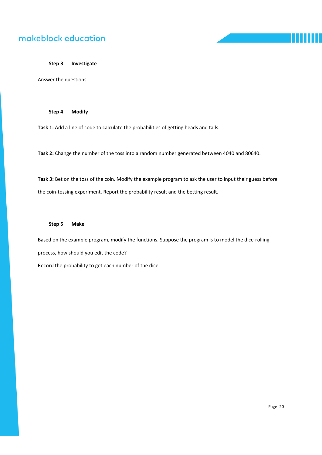#### **Step 3 Investigate**

Answer the questions.

**Step 4 Modify** 

**Task 1:** Add a line of code to calculate the probabilities of getting heads and tails.

**Task 2:** Change the number of the toss into a random number generated between 4040 and 80640.

**Task 3:** Bet on the toss of the coin. Modify the example program to ask the user to input their guess before the coin‐tossing experiment. Report the probability result and the betting result.

#### **Step 5 Make**

Based on the example program, modify the functions. Suppose the program is to model the dice-rolling process, how should you edit the code? Record the probability to get each number of the dice.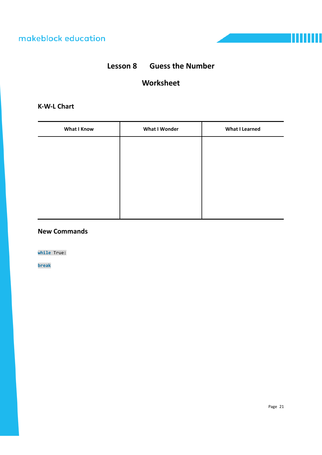# **Lesson 8 Guess the Number**

## **Worksheet**

### **K‐W‐L Chart**

| <b>What I Know</b> | <b>What I Wonder</b> | <b>What I Learned</b> |
|--------------------|----------------------|-----------------------|
|                    |                      |                       |
|                    |                      |                       |
|                    |                      |                       |
|                    |                      |                       |
|                    |                      |                       |
|                    |                      |                       |

### **New Commands**

**while** True:

**break**

Ш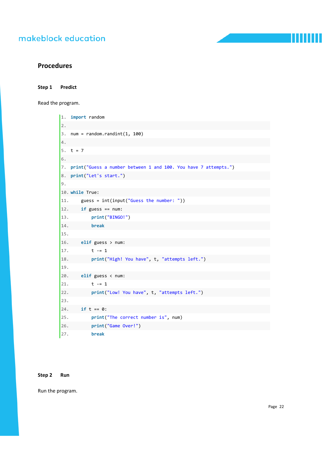#### **Procedures**

**Step 1 Predict** 

Read the program.

```
1. import random  
2.   
3. num = random.randint(1, 100)4.   
5. t = 76.   
7. print("Guess a number between 1 and 100. You have 7 attempts.")  
8. print("Let's start.")  
9.   
10. while True:  
11.     guess = int(input("Guess the number: "))  
12.     if guess == num:  
13.         print("BINGO!")  
14.         break  
15.       
16.     elif guess > num:  
17. t -= 1
18.         print("High! You have", t, "attempts left.")  
19.           
20.     elif guess < num:  
21. t -= 1
22.         print("Low! You have", t, "attempts left.")  
23.           
24.     if t == 0:  
25.         print("The correct number is", num)  
26.         print("Game Over!")  
27.         break
```
#### **Step 2 Run**

Run the program.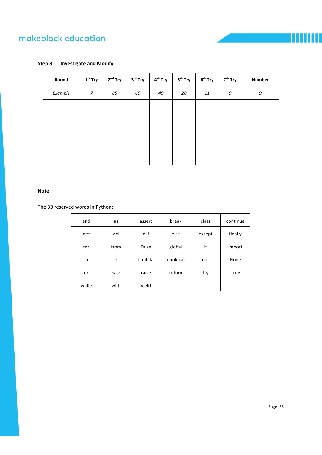#### **Step 3 Investigate and Modify**

| Round   | $1st$ Try      | $2nd$ Try | 3 <sup>rd</sup> Try | 4 <sup>th</sup> Try | 5 <sup>th</sup> Try | $6th$ Try | 7 <sup>th</sup> Try | <b>Number</b> |
|---------|----------------|-----------|---------------------|---------------------|---------------------|-----------|---------------------|---------------|
| Example | $\overline{7}$ | 85        | 60                  | 40                  | 20                  | 11        | 9                   | 9             |
|         |                |           |                     |                     |                     |           |                     |               |
|         |                |           |                     |                     |                     |           |                     |               |
|         |                |           |                     |                     |                     |           |                     |               |
|         |                |           |                     |                     |                     |           |                     |               |
|         |                |           |                     |                     |                     |           |                     |               |

#### **Note**

The 33 reserved words in Python:

| and   | as   | assert | break    | class  | continue |
|-------|------|--------|----------|--------|----------|
| def   | del  | elif   | else     | except | finally  |
| for   | from | False  | global   | if     | import   |
| in    | is   | lambda | nonlocal | not    | None     |
| or    | pass | raise  | return   | try    | True     |
| while | with | yield  |          |        |          |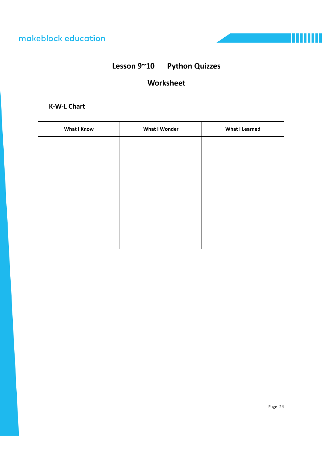

# **Worksheet**

## **K‐W‐L Chart**

| <b>What I Know</b> | <b>What I Wonder</b> | <b>What I Learned</b> |
|--------------------|----------------------|-----------------------|
|                    |                      |                       |
|                    |                      |                       |
|                    |                      |                       |
|                    |                      |                       |
|                    |                      |                       |
|                    |                      |                       |
|                    |                      |                       |
|                    |                      |                       |

Ш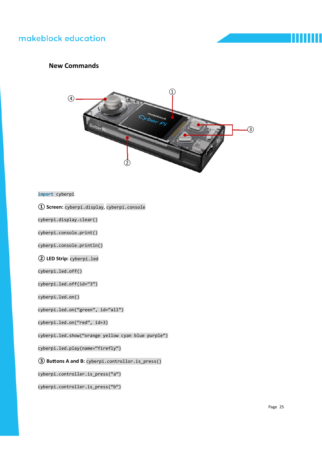### **New Commands**



**import** cyberpi

**① Screen:** cyberpi.display, cyberpi.console

cyberpi.display.clear()

cyberpi.console.print()

cyberpi.console.println()

**② LED Strip:** cyberpi.led

cyberpi.led.off()

cyberpi.led.off(id="3")

cyberpi.led.on()

cyberpi.led.on("green", id="all")

cyberpi.led.on("red", id=3)

cyberpi.led.show("orange yellow cyan blue purple")

cyberpi.led.play(name="firefly")

**③ BuƩons A and B:** cyberpi.controllor.is\_press()

cyberpi.controller.is\_press("a")

cyberpi.controller.is press("b")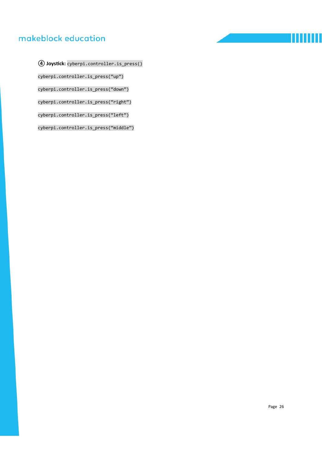ШШ ш

**④ JoysƟck:** cyberpi.controller.is\_press() cyberpi.controller.is\_press("up") cyberpi.controller.is\_press("down") cyberpi.controller.is\_press("right") cyberpi.controller.is\_press("left")

cyberpi.controller.is\_press("middle")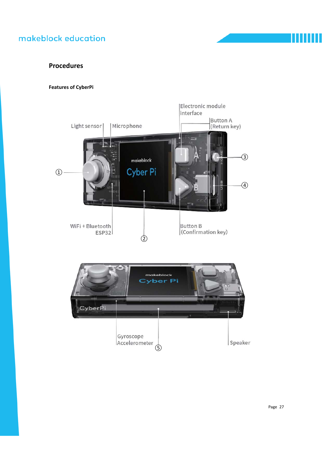### **Procedures**

#### **Features of CyberPi**



Page 27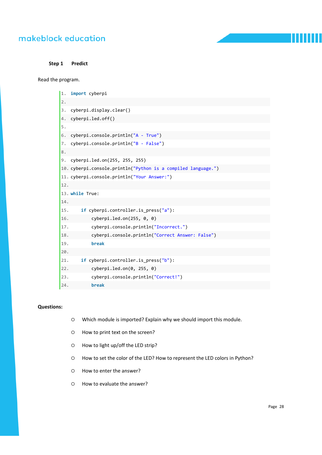**Step 1 Predict** 

Read the program.

| $1$ .<br>2. | import cyberpi                                                |
|-------------|---------------------------------------------------------------|
| 3.          | cyberpi.display.clear()                                       |
| 4.          | cyberpi.led.off()                                             |
| 5.          |                                                               |
| 6.          | cyberpi.console.println("A - True")                           |
| 7.          | cyberpi.console.println("B - False")                          |
| 8.          |                                                               |
| 9.          | cyberpi.led.on(255, 255, 255)                                 |
|             | 10. cyberpi.console.println("Python is a compiled language.") |
|             | 11. cyberpi.console.println("Your Answer:")                   |
| 12.         |                                                               |
|             | 13. while True:                                               |
| 14.         |                                                               |
| 15.         | if cyberpi.controller.is_press("a"):                          |
| 16.         | cyberpi.ledon(255, 0, 0)                                      |
| 17.         | cyberpi.console.println("Incorrect.")                         |
| 18.         | cyberpi.console.println("Correct Answer: False")              |
| 19.         | break                                                         |
| 20.         |                                                               |
| 21.         | if cyberpi.controller.is press("b"):                          |
| 22.         | cyberpi.ledon(0, 255, 0)                                      |
| 23.         | cyberpi.console.println("Correct!")                           |
| 24.         | break                                                         |

#### **Questions:**

- Which module is imported? Explain why we should import this module.
- How to print text on the screen?
- O How to light up/off the LED strip?
- How to set the color of the LED? How to represent the LED colors in Python?
- O How to enter the answer?
- How to evaluate the answer?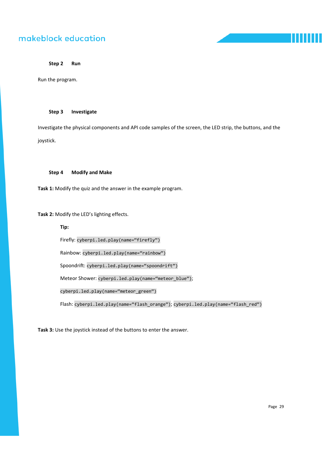**Step 2 Run** 

Run the program.

#### **Step 3 Investigate**

Investigate the physical components and API code samples of the screen, the LED strip, the buttons, and the joystick.

#### **Step 4 Modify and Make**

**Task 1:** Modify the quiz and the answer in the example program.

**Task 2:** Modify the LED's lighting effects.

**Tip:** 

Firefly: cyberpi.led.play(name="firefly")

Rainbow: cyberpi.led.play(name="rainbow")

Spoondrift: cyberpi.led.play(name="spoondrift")

Meteor Shower: cyberpi.led.play(name="meteor\_blue");

cyberpi.led.play(name="meteor\_green")

Flash: cyberpi.led.play(name="flash\_orange"); cyberpi.led.play(name="flash\_red")

**Task 3:** Use the joystick instead of the buttons to enter the answer.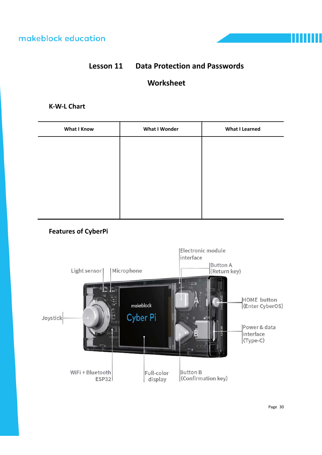# **Lesson 11 Data Protection and Passwords**

# **Worksheet**

### **K‐W‐L Chart**

| What I Know | <b>What I Wonder</b> | <b>What I Learned</b> |
|-------------|----------------------|-----------------------|
|             |                      |                       |
|             |                      |                       |
|             |                      |                       |
|             |                      |                       |
|             |                      |                       |
|             |                      |                       |

## **Features of CyberPi**

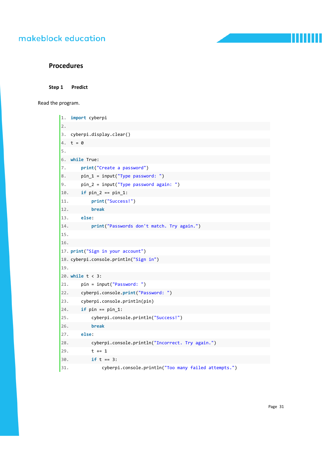**Procedures** 

**Step 1 Predict** 

Read the program.

| 1.  | import cyberpi                                       |
|-----|------------------------------------------------------|
| 2.  |                                                      |
| 3.  | cyberpi.display.clear()                              |
| 4.  | $t = 0$                                              |
| 5.  |                                                      |
| 6.  | while True:                                          |
| 7.  | print("Create a password")                           |
| 8.  | $pin_1 = input("Type password:")$                    |
| 9.  | $pin_2 = input("Type password again:")$              |
| 10. | if $pin_2 == pin_1$ :                                |
| 11. | print("Success!")                                    |
| 12. | break                                                |
| 13. | else:                                                |
| 14. | print("Passwords don't match. Try again.")           |
| 15. |                                                      |
| 16. |                                                      |
|     | 17. print("Sign in your account")                    |
|     | 18. cyberpi.console.println("Sign in")               |
| 19. |                                                      |
|     | 20. while $t < 3$ :                                  |
| 21. | $pin = input("Password: ")$                          |
| 22. | cyberpi.console.print("Password: ")                  |
| 23. | cyberpi.console.println(pin)                         |
| 24. | if $pin == pin_1$ :                                  |
| 25. | cyberpi.console.println("Success!")                  |
| 26. | break                                                |
| 27. | else:                                                |
| 28. | cyberpi.console.println("Incorrect. Try again.")     |
| 29. | $t + = 1$                                            |
| 30. | if $t == 3$ :                                        |
| 31. | cyberpi.console.println("Too many failed attempts.") |

Page 31

Ш

١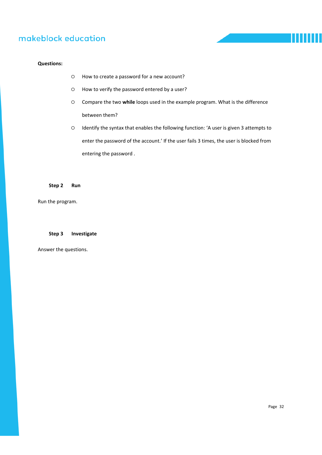#### **Questions:**

- How to create a password for a new account?
- How to verify the password entered by a user?
- Compare the two **while** loops used in the example program. What is the difference between them?
- Identify the syntax that enables the following function: 'A user is given 3 attempts to enter the password of the account.' If the user fails 3 times, the user is blocked from entering the password .

#### **Step 2 Run**

Run the program.

#### **Step 3 Investigate**

Answer the questions.

Ш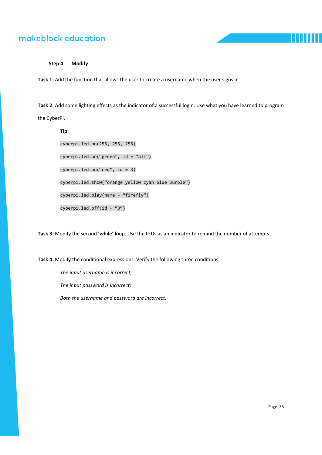

**Step 4 Modify** 

**Task 1:** Add the function that allows the user to create a username when the user signs in.

**Task 2:** Add some lighting effects as the indicator of a successful login. Use what you have learned to program the CyberPi.

**Tip:**  cyberpi.led.on(255, 255, 255) cyberpi.led.on("green", id = "all")  $cyberpi.led.on("red", id = 3)$ cyberpi.led.show("orange yellow cyan blue purple") cyberpi.led.play(name = "firefly")  $cyberpi.led.off(id = "3")$ 

**Task 3:** Modify the second **'while'** loop. Use the LEDs as an indicator to remind the number of attempts.

**Task 4:** Modify the conditional expressions. Verify the following three conditions:

*The input username is incorrect;* 

*The input password is incorrect;* 

*Both the username and password are incorrect.*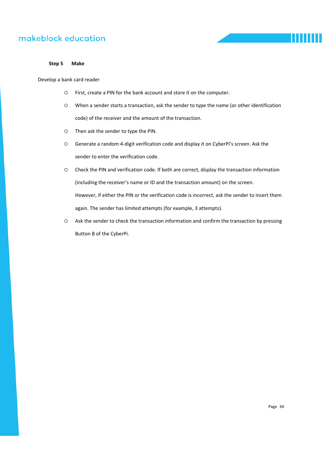

#### **Step 5 Make**

Develop a bank card reader

- First, create a PIN for the bank account and store it on the computer.
- When a sender starts a transaction, ask the sender to type the name (or other identification code) of the receiver and the amount of the transaction.
- Then ask the sender to type the PIN.
- Generate a random 4‐digit verification code and display it on CyberPi's screen. Ask the sender to enter the verification code.
- Check the PIN and verification code. If both are correct, display the transaction information (including the receiver's name or ID and the transaction amount) on the screen. However, if either the PIN or the verification code is incorrect, ask the sender to insert them again. The sender has limited attempts (for example, 3 attempts).
- Ask the sender to check the transaction information and confirm the transaction by pressing Button B of the CyberPi.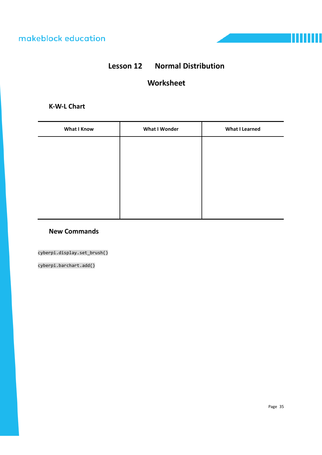# **Lesson 12 Normal Distribution**

## **Worksheet**

### **K‐W‐L Chart**

| <b>What I Know</b> | <b>What I Wonder</b> | <b>What I Learned</b> |
|--------------------|----------------------|-----------------------|
|                    |                      |                       |
|                    |                      |                       |
|                    |                      |                       |
|                    |                      |                       |
|                    |                      |                       |
|                    |                      |                       |

### **New Commands**

cyberpi.display.set\_brush()

cyberpi.barchart.add()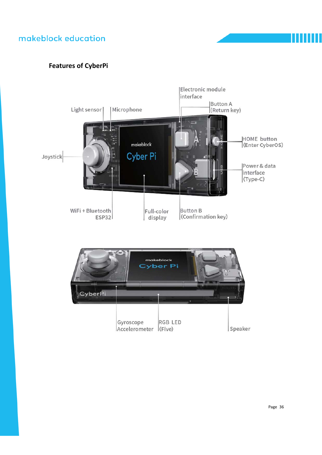## **Features of CyberPi**

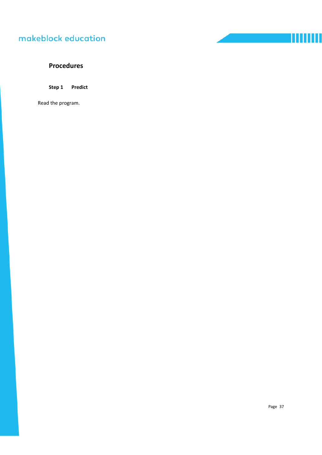### **Procedures**

**Step 1 Predict** 

Read the program.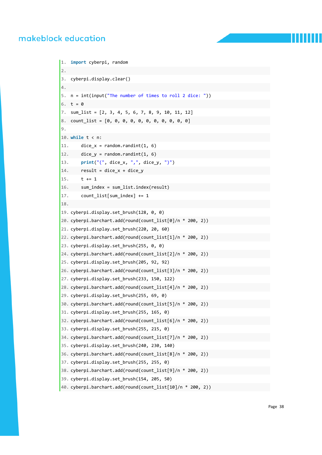```
1. import cyberpi, random  
2.   
3. cyberpi.display.clear()  
4.   
5. n = int(input("The number of times to roll 2 dice: "))  
6. t = 07. sum_list = [2, 3, 4, 5, 6, 7, 8, 9, 10, 11, 12]  
8. count_list = [0, 0, 0, 0, 0, 0, 0, 0, 0, 0, 0]  
9.   
10. while t < n:  
11. dice x = random.randint(1, 6)
12. dice_y = random.randint(1, 6)13.     print("(", dice_x, ",", dice_y, ")")  
14. result = dice x + dice y15. t \div 116.     sum_index = sum_list.index(result)
17.     count list[sum_index] += 1
18.   
19. cyberpi.display.set_brush(128, 0, 0)  
20. cyberpi.barchart.add(round(count_list[0]/n * 200, 2))  
21. cyberpi.display.set brush(220, 20, 60)
22. cyberpi.barchart.add(round(count_list[1]/n * 200, 2))  
23. cyberpi.display.set_brush(255, 0, 0)  
24. cyberpi.barchart.add(round(count_list[2]/n * 200, 2))  
25. cyberpi.display.set_brush(205, 92, 92)  
26. cyberpi.barchart.add(round(count_list[3]/n * 200, 2))  
27. cyberpi.display.set_brush(233, 150, 122)  
28. cyberpi.barchart.add(round(count_list[4]/n * 200, 2))  
29. cyberpi.display.set_brush(255, 69, 0)  
30. cyberpi.barchart.add(round(count_list[5]/n * 200, 2))  
31. cyberpi.display.set brush(255, 165, 0)
32. cyberpi.barchart.add(round(count_list[6]/n * 200, 2))  
33. cyberpi.display.set_brush(255, 215, 0)  
34. cyberpi.barchart.add(round(count_list[7]/n * 200, 2))  
35. cyberpi.display.set_brush(240, 230, 140)  
36. cyberpi.barchart.add(round(count_list[8]/n * 200, 2))  
37. cyberpi.display.set brush(255, 255, 0)
38. cyberpi.barchart.add(round(count_list[9]/n * 200, 2))  
39. cyberpi.display.set_brush(154, 205, 50)  
40. cyberpi.barchart.add(round(count_list[10]/n * 200, 2))
```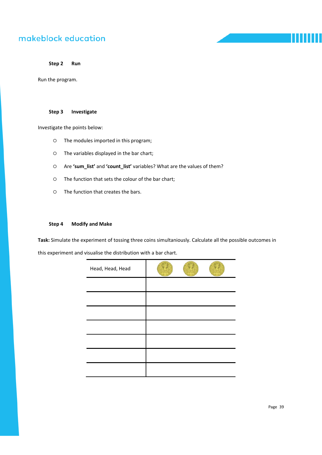**Step 2 Run** 

Run the program.

#### **Step 3 Investigate**

Investigate the points below:

- The modules imported in this program;
- The variables displayed in the bar chart;
- Are **'sum\_list'** and **'count\_list'** variables? What are the values of them?
- The function that sets the colour of the bar chart;
- The function that creates the bars.

#### **Step 4 Modify and Make**

**Task:** Simulate the experiment of tossing three coins simultaniously. Calculate all the possible outcomes in this experiment and visualise the distribution with a bar chart.

| Head, Head, Head |  |  |
|------------------|--|--|
|                  |  |  |
|                  |  |  |
|                  |  |  |
|                  |  |  |
|                  |  |  |
|                  |  |  |
|                  |  |  |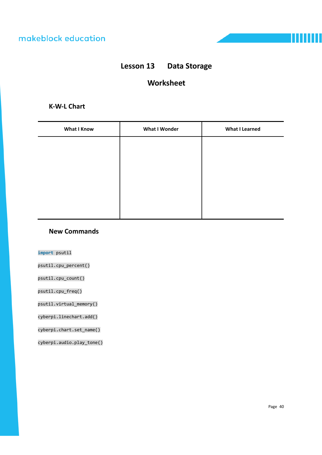

# **Lesson 13 Data Storage**

## **Worksheet**

### **K‐W‐L Chart**

| <b>What I Know</b> | <b>What I Wonder</b> | <b>What I Learned</b> |
|--------------------|----------------------|-----------------------|
|                    |                      |                       |
|                    |                      |                       |
|                    |                      |                       |
|                    |                      |                       |
|                    |                      |                       |
|                    |                      |                       |

#### **New Commands**

**import** psutil

psutil.cpu\_percent()

psutil.cpu\_count()

psutil.cpu\_freq()

psutil.virtual\_memory()

cyberpi.linechart.add()

cyberpi.chart.set\_name()

cyberpi.audio.play\_tone()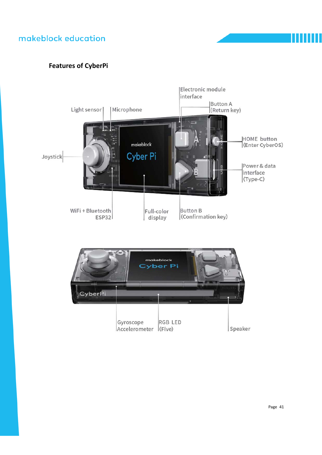## **Features of CyberPi**

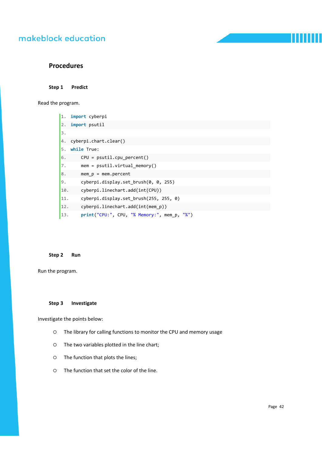#### **Procedures**

**Step 1 Predict** 

Read the program.

| 1.  | import cyberpi                              |
|-----|---------------------------------------------|
| 2.  | import psutil                               |
| 3.  |                                             |
| 4.  | cyberpi.chart.clear()                       |
| 5.  | while True:                                 |
| 6.  | $CPU = psutil.cpu percent()$                |
| 7.  | $mem = partial.virtual memory()$            |
| 8.  | mem $p = mem.percent$                       |
| 9.  | cyberpi.display.set brush(0, 0, 255)        |
| 10. | cyberpi.linechart.add(int(CPU))             |
| 11. | cyberpi.display.set brush(255, 255, 0)      |
| 12. | cyberpi.linechart.add(int(mem p))           |
| 13. | print("CPU:", CPU, "% Memory:", mem p, "%") |

#### **Step 2 Run**

Run the program.

#### **Step 3 Investigate**

Investigate the points below:

- The library for calling functions to monitor the CPU and memory usage
- The two variables plotted in the line chart;
- The function that plots the lines;
- The function that set the color of the line.

Ш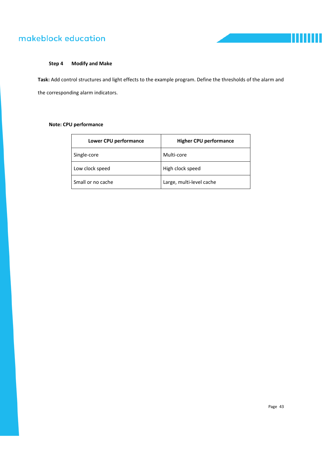

#### **Step 4 Modify and Make**

**Task:** Add control structures and light effects to the example program. Define the thresholds of the alarm and the corresponding alarm indicators.

#### **Note: CPU performance**

| Lower CPU performance | <b>Higher CPU performance</b> |
|-----------------------|-------------------------------|
| Single-core           | Multi-core                    |
| Low clock speed       | High clock speed              |
| Small or no cache     | Large, multi-level cache      |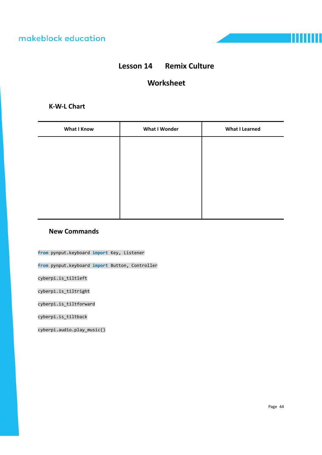

## **Lesson 14 Remix Culture**

## **Worksheet**

### **K‐W‐L Chart**

| <b>What I Know</b> | <b>What I Wonder</b> | <b>What I Learned</b> |
|--------------------|----------------------|-----------------------|
|                    |                      |                       |
|                    |                      |                       |
|                    |                      |                       |
|                    |                      |                       |
|                    |                      |                       |
|                    |                      |                       |

### **New Commands**

**from** pynput.keyboard **import** Key, Listener

**from** pynput.keyboard **import** Button, Controller

cyberpi.is\_tiltleft

cyberpi.is\_tiltright

cyberpi.is\_tiltforward

cyberpi.is\_tiltback

cyberpi.audio.play\_music()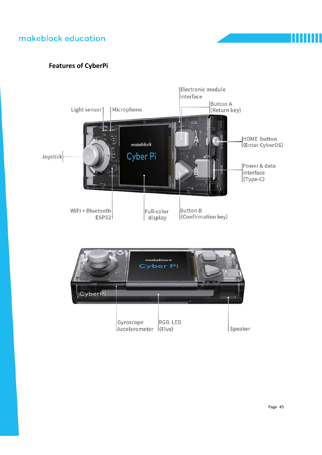## **Features of CyberPi**

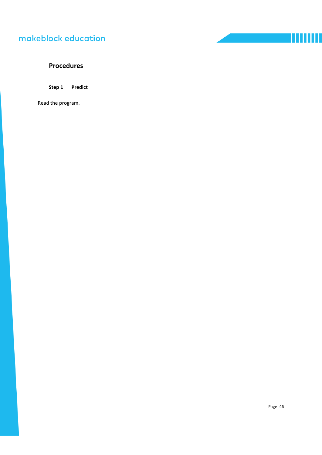## **Procedures**

**Step 1 Predict** 

Read the program.

TITTITTI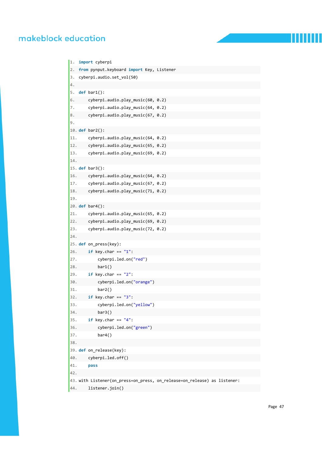```
1. import cyberpi  
2. from pynput.keyboard import Key, Listener  
3. cyberpi.audio.set_vol(50)  
4.   
5. def bar1():  
6. cyberpi.audio.play_music(60, 0.2)
7. cyberpi.audio.play music(64, 0.2)
8. cyberpi.audio.play_music(67, 0.2)
9.   
10. def bar2():  
11.     cyberpi.audio.play_music(64, 0.2)  
12. cyberpi.audio.play music(65, 0.2)
13.     cyberpi.audio.play_music(69, 0.2)  
14.   
15. def bar3():  
16. cyberpi.audio.play music(64, 0.2)
17. cyberpi.audio.play music(67, 0.2)
18.     cyberpi.audio.play_music(71, 0.2)  
19.   
20. def bar4():  
21. cyberpi.audio.play_music(65, 0.2)
22.     cyberpi.audio.play_music(69, 0.2)  
23.     cyberpi.audio.play_music(72, 0.2)  
24.   
25. def on_press(key):  
26.     if key.char == "1":  
27.         cyberpi.led.on("red")  
28. bar1()
29.     if key.char == "2":  
30.         cyberpi.led.on("orange")  
31.         bar2()    
32.     if key.char == "3":  
33.         cyberpi.led.on("yellow")  
34.         bar3()   
35.     if key.char == "4":  
36.         cyberpi.led.on("green")  
37. bar4()
38.         
39. def on_release(key):  
40.     cyberpi.led.off()  
41.     pass  
42.   
43. with Listener(on_press=on_press, on_release=on_release) as listener:  
44. listener.join()
```